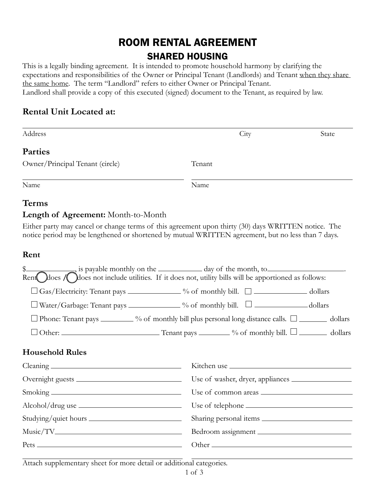# ROOM RENTAL AGREEMENT SHARED HOUSING

This is a legally binding agreement. It is intended to promote household harmony by clarifying the expectations and responsibilities of the Owner or Principal Tenant (Landlords) and Tenant when they share the same home. The term "Landlord" refers to either Owner or Principal Tenant. Landlord shall provide a copy of this executed (signed) document to the Tenant, as required by law.

# **Rental Unit Located at:**

| Address                                                                                                                                                                                                   | City                                                                                                 | State |  |  |  |
|-----------------------------------------------------------------------------------------------------------------------------------------------------------------------------------------------------------|------------------------------------------------------------------------------------------------------|-------|--|--|--|
| <b>Parties</b>                                                                                                                                                                                            |                                                                                                      |       |  |  |  |
| Owner/Principal Tenant (circle)                                                                                                                                                                           | Tenant                                                                                               |       |  |  |  |
| Name                                                                                                                                                                                                      | Name                                                                                                 |       |  |  |  |
| <b>Terms</b>                                                                                                                                                                                              |                                                                                                      |       |  |  |  |
| <b>Length of Agreement:</b> Month-to-Month                                                                                                                                                                |                                                                                                      |       |  |  |  |
| Either party may cancel or change terms of this agreement upon thirty (30) days WRITTEN notice. The<br>notice period may be lengthened or shortened by mutual WRITTEN agreement, but no less than 7 days. |                                                                                                      |       |  |  |  |
| Rent                                                                                                                                                                                                      |                                                                                                      |       |  |  |  |
| \$<br>Rent does / does not include utilities. If it does not, utility bills will be apportioned as follows:                                                                                               |                                                                                                      |       |  |  |  |
|                                                                                                                                                                                                           |                                                                                                      |       |  |  |  |
|                                                                                                                                                                                                           | $\Box$ Gas/Electricity: Tenant pays ______________ % of monthly bill. $\Box$ _______________ dollars |       |  |  |  |
| □ Water/Garbage: Tenant pays ____________% of monthly bill. □ ______________dollars                                                                                                                       |                                                                                                      |       |  |  |  |
| $\Box$ Phone: Tenant pays $\Box$ % of monthly bill plus personal long distance calls. $\Box$ $\Box$ dollars                                                                                               |                                                                                                      |       |  |  |  |

## **Household Rules**

| Studying/quiet hours |                    |
|----------------------|--------------------|
|                      | Bedroom assignment |
|                      |                    |
|                      |                    |

Attach supplementary sheet for more detail or additional categories.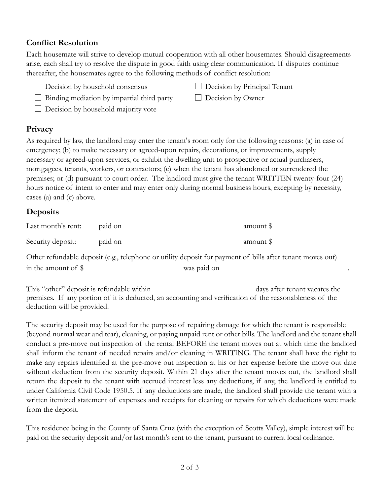#### **Conflict Resolution**

Each housemate will strive to develop mutual cooperation with all other housemates. Should disagreements arise, each shall try to resolve the dispute in good faith using clear communication. If disputes continue thereafter, the housemates agree to the following methods of conflict resolution:

- $\Box$  Decision by household consensus  $\Box$  Decision by Principal Tenant
- $\Box$  Binding mediation by impartial third party  $\Box$  Decision by Owner
- $\Box$  Decision by household majority vote

## **Privacy**

As required by law, the landlord may enter the tenant's room only for the following reasons: (a) in case of emergency; (b) to make necessary or agreed-upon repairs, decorations, or improvements, supply necessary or agreed-upon services, or exhibit the dwelling unit to prospective or actual purchasers, mortgagees, tenants, workers, or contractors; (c) when the tenant has abandoned or surrendered the premises; or (d) pursuant to court order. The landlord must give the tenant WRITTEN twenty-four (24) hours notice of intent to enter and may enter only during normal business hours, excepting by necessity, cases (a) and (c) above.

# **Deposits**

| Last month's rent:                                                                                        | paid on _      | amount \$ |  |  |  |
|-----------------------------------------------------------------------------------------------------------|----------------|-----------|--|--|--|
| Security deposit:                                                                                         | paid on ______ | amount \$ |  |  |  |
| Other refundable deposit (e.g., telephone or utility deposit for payment of bills after tenant moves out) |                |           |  |  |  |

in the amount of  $\frac{1}{2}$  was paid on  $\frac{1}{2}$  was paid on  $\frac{1}{2}$ 

This "other" deposit is refundable within days after tenant vacates the premises. If any portion of it is deducted, an accounting and verification of the reasonableness of the deduction will be provided.

The security deposit may be used for the purpose of repairing damage for which the tenant is responsible (beyond normal wear and tear), cleaning, or paying unpaid rent or other bills. The landlord and the tenant shall conduct a pre-move out inspection of the rental BEFORE the tenant moves out at which time the landlord shall inform the tenant of needed repairs and/or cleaning in WRITING. The tenant shall have the right to make any repairs identified at the pre-move out inspection at his or her expense before the move out date without deduction from the security deposit. Within 21 days after the tenant moves out, the landlord shall return the deposit to the tenant with accrued interest less any deductions, if any, the landlord is entitled to under California Civil Code 1950.5. If any deductions are made, the landlord shall provide the tenant with a written itemized statement of expenses and receipts for cleaning or repairs for which deductions were made from the deposit.

This residence being in the County of Santa Cruz (with the exception of Scotts Valley), simple interest will be paid on the security deposit and/or last month's rent to the tenant, pursuant to current local ordinance.

- 
-